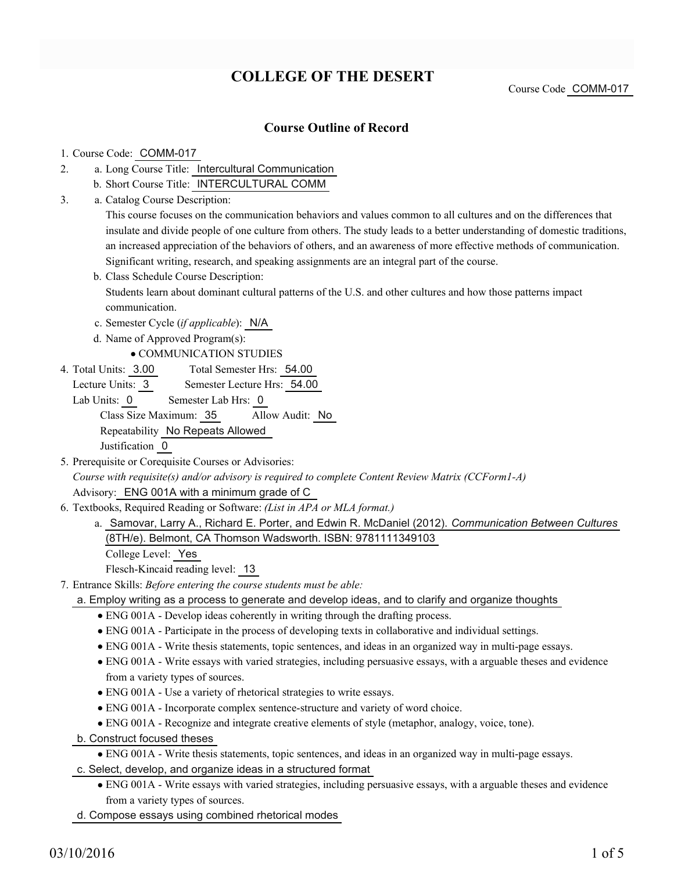## **COLLEGE OF THE DESERT**

Course Code COMM-017

#### **Course Outline of Record**

#### 1. Course Code: COMM-017

- a. Long Course Title: Intercultural Communication 2.
	- b. Short Course Title: INTERCULTURAL COMM
- Catalog Course Description: a. 3.

This course focuses on the communication behaviors and values common to all cultures and on the differences that insulate and divide people of one culture from others. The study leads to a better understanding of domestic traditions, an increased appreciation of the behaviors of others, and an awareness of more effective methods of communication. Significant writing, research, and speaking assignments are an integral part of the course.

- b. Class Schedule Course Description: Students learn about dominant cultural patterns of the U.S. and other cultures and how those patterns impact communication.
- c. Semester Cycle (*if applicable*): N/A
- d. Name of Approved Program(s):

COMMUNICATION STUDIES

Total Semester Hrs: 54.00 4. Total Units: 3.00

Lecture Units: 3 Semester Lecture Hrs: 54.00

Lab Units: 0 Semester Lab Hrs: 0 Class Size Maximum: 35 Allow Audit: No Repeatability No Repeats Allowed Justification 0

5. Prerequisite or Corequisite Courses or Advisories:

*Course with requisite(s) and/or advisory is required to complete Content Review Matrix (CCForm1-A)* Advisory: ENG 001A with a minimum grade of C

- Textbooks, Required Reading or Software: *(List in APA or MLA format.)* 6.
	- a. Samovar, Larry A., Richard E. Porter, and Edwin R. McDaniel (2012). *Communication Between Cultures* (8TH/e). Belmont, CA Thomson Wadsworth. ISBN: 9781111349103

College Level: Yes

Flesch-Kincaid reading level: 13

- Entrance Skills: *Before entering the course students must be able:* 7.
	- a. Employ writing as a process to generate and develop ideas, and to clarify and organize thoughts
		- ENG 001A Develop ideas coherently in writing through the drafting process.
		- ENG 001A Participate in the process of developing texts in collaborative and individual settings.
		- ENG 001A Write thesis statements, topic sentences, and ideas in an organized way in multi-page essays.
		- ENG 001A Write essays with varied strategies, including persuasive essays, with a arguable theses and evidence from a variety types of sources.
		- ENG 001A Use a variety of rhetorical strategies to write essays.
		- ENG 001A Incorporate complex sentence-structure and variety of word choice.
		- ENG 001A Recognize and integrate creative elements of style (metaphor, analogy, voice, tone).
	- b. Construct focused theses
		- ENG 001A Write thesis statements, topic sentences, and ideas in an organized way in multi-page essays.
	- c. Select, develop, and organize ideas in a structured format
		- ENG 001A Write essays with varied strategies, including persuasive essays, with a arguable theses and evidence from a variety types of sources.

d. Compose essays using combined rhetorical modes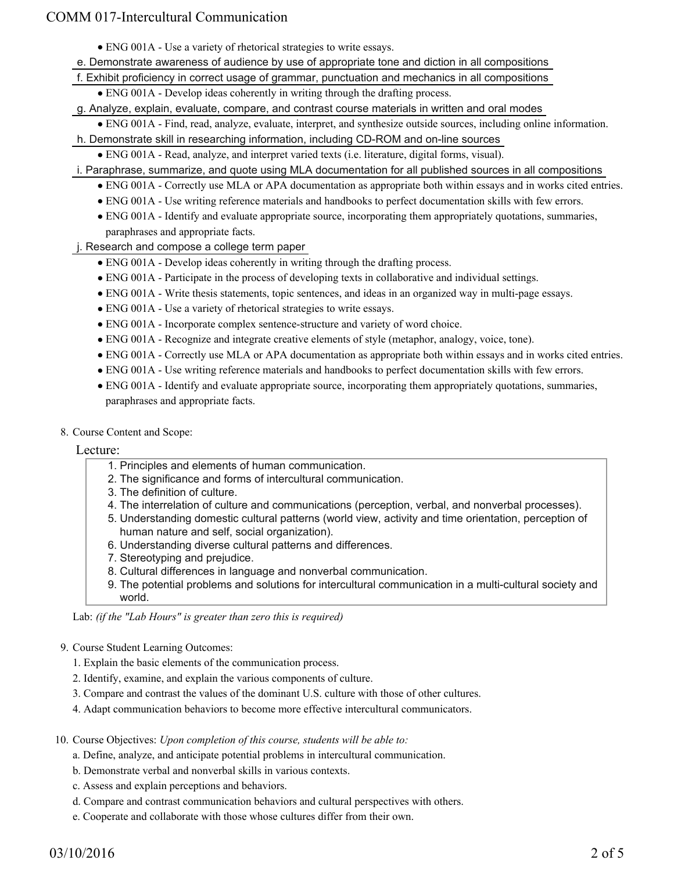## COMM 017-Intercultural Communication

ENG 001A - Use a variety of rhetorical strategies to write essays.

e. Demonstrate awareness of audience by use of appropriate tone and diction in all compositions

f. Exhibit proficiency in correct usage of grammar, punctuation and mechanics in all compositions

ENG 001A - Develop ideas coherently in writing through the drafting process.

g. Analyze, explain, evaluate, compare, and contrast course materials in written and oral modes

- ENG 001A Find, read, analyze, evaluate, interpret, and synthesize outside sources, including online information.
- h. Demonstrate skill in researching information, including CD-ROM and on-line sources
	- ENG 001A Read, analyze, and interpret varied texts (i.e. literature, digital forms, visual).
- i. Paraphrase, summarize, and quote using MLA documentation for all published sources in all compositions
	- ENG 001A Correctly use MLA or APA documentation as appropriate both within essays and in works cited entries.
	- ENG 001A Use writing reference materials and handbooks to perfect documentation skills with few errors.
	- ENG 001A Identify and evaluate appropriate source, incorporating them appropriately quotations, summaries, paraphrases and appropriate facts.
- j. Research and compose a college term paper
	- ENG 001A Develop ideas coherently in writing through the drafting process.
	- ENG 001A Participate in the process of developing texts in collaborative and individual settings.
	- ENG 001A Write thesis statements, topic sentences, and ideas in an organized way in multi-page essays.
	- ENG 001A Use a variety of rhetorical strategies to write essays.
	- ENG 001A Incorporate complex sentence-structure and variety of word choice.
	- ENG 001A Recognize and integrate creative elements of style (metaphor, analogy, voice, tone).
	- ENG 001A Correctly use MLA or APA documentation as appropriate both within essays and in works cited entries.
	- ENG 001A Use writing reference materials and handbooks to perfect documentation skills with few errors.
	- ENG 001A Identify and evaluate appropriate source, incorporating them appropriately quotations, summaries, paraphrases and appropriate facts.
- 8. Course Content and Scope:
	- Lecture:
		- 1. Principles and elements of human communication.
		- 2. The significance and forms of intercultural communication.
		- 3. The definition of culture.
		- 4. The interrelation of culture and communications (perception, verbal, and nonverbal processes).
		- 5. Understanding domestic cultural patterns (world view, activity and time orientation, perception of human nature and self, social organization).
		- 6. Understanding diverse cultural patterns and differences.
		- 7. Stereotyping and prejudice.
		- 8. Cultural differences in language and nonverbal communication.
		- 9. The potential problems and solutions for intercultural communication in a multi-cultural society and world.

Lab: *(if the "Lab Hours" is greater than zero this is required)*

- 9. Course Student Learning Outcomes:
	- 1. Explain the basic elements of the communication process.
	- 2. Identify, examine, and explain the various components of culture.
	- 3. Compare and contrast the values of the dominant U.S. culture with those of other cultures.
	- 4. Adapt communication behaviors to become more effective intercultural communicators.

10. Course Objectives: Upon completion of this course, students will be able to:

a. Define, analyze, and anticipate potential problems in intercultural communication.

- b. Demonstrate verbal and nonverbal skills in various contexts.
- c. Assess and explain perceptions and behaviors.
- d. Compare and contrast communication behaviors and cultural perspectives with others.
- e. Cooperate and collaborate with those whose cultures differ from their own.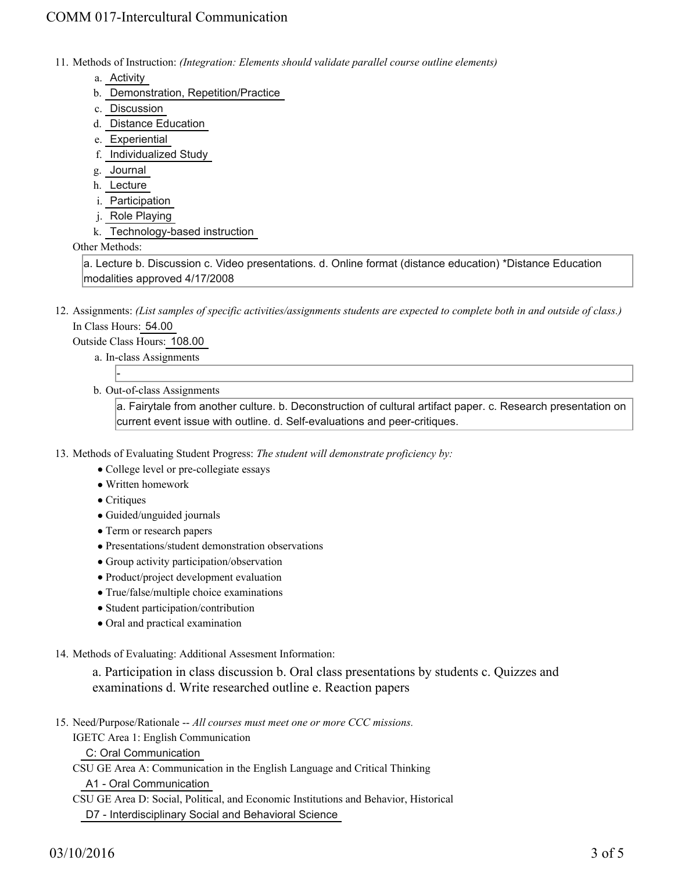Methods of Instruction: *(Integration: Elements should validate parallel course outline elements)* 11.

- a. Activity
- b. Demonstration, Repetition/Practice
- c. Discussion
- d. Distance Education
- e. Experiential
- f. Individualized Study
- g. Journal
- h. Lecture
- i. Participation
- j. Role Playing
- k. Technology-based instruction

#### Other Methods:

a. Lecture b. Discussion c. Video presentations. d. Online format (distance education) \*Distance Education modalities approved 4/17/2008

12. Assignments: (List samples of specific activities/assignments students are expected to complete both in and outside of class.) In Class Hours: 54.00

### Outside Class Hours: 108.00

a. In-class Assignments

-

b. Out-of-class Assignments

a. Fairytale from another culture. b. Deconstruction of cultural artifact paper. c. Research presentation on current event issue with outline. d. Self-evaluations and peer-critiques.

- 13. Methods of Evaluating Student Progress: The student will demonstrate proficiency by:
	- College level or pre-collegiate essays
	- Written homework
	- Critiques
	- Guided/unguided journals
	- Term or research papers
	- Presentations/student demonstration observations
	- Group activity participation/observation
	- Product/project development evaluation
	- True/false/multiple choice examinations
	- Student participation/contribution
	- Oral and practical examination
- 14. Methods of Evaluating: Additional Assesment Information:

a. Participation in class discussion b. Oral class presentations by students c. Quizzes and examinations d. Write researched outline e. Reaction papers

15. Need/Purpose/Rationale -- All courses must meet one or more CCC missions.

IGETC Area 1: English Communication

C: Oral Communication

CSU GE Area A: Communication in the English Language and Critical Thinking

A1 - Oral Communication

CSU GE Area D: Social, Political, and Economic Institutions and Behavior, Historical D7 - Interdisciplinary Social and Behavioral Science